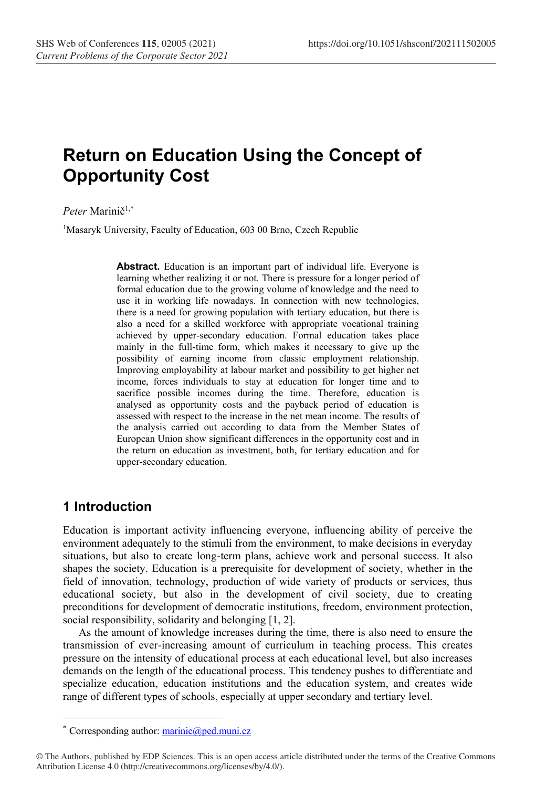# **Return on Education Using the Concept of Opportunity Cost**

Peter Marinič<sup>1,\*</sup>

<sup>1</sup>Masaryk University, Faculty of Education, 603 00 Brno, Czech Republic

**Abstract.** Education is an important part of individual life. Everyone is learning whether realizing it or not. There is pressure for a longer period of formal education due to the growing volume of knowledge and the need to use it in working life nowadays. In connection with new technologies, there is a need for growing population with tertiary education, but there is also a need for a skilled workforce with appropriate vocational training achieved by upper-secondary education. Formal education takes place mainly in the full-time form, which makes it necessary to give up the possibility of earning income from classic employment relationship. Improving employability at labour market and possibility to get higher net income, forces individuals to stay at education for longer time and to sacrifice possible incomes during the time. Therefore, education is analysed as opportunity costs and the payback period of education is assessed with respect to the increase in the net mean income. The results of the analysis carried out according to data from the Member States of European Union show significant differences in the opportunity cost and in the return on education as investment, both, for tertiary education and for upper-secondary education.

### **1 Introduction**

Education is important activity influencing everyone, influencing ability of perceive the environment adequately to the stimuli from the environment, to make decisions in everyday situations, but also to create long-term plans, achieve work and personal success. It also shapes the society. Education is a prerequisite for development of society, whether in the field of innovation, technology, production of wide variety of products or services, thus educational society, but also in the development of civil society, due to creating preconditions for development of democratic institutions, freedom, environment protection, social responsibility, solidarity and belonging [1, 2].

As the amount of knowledge increases during the time, there is also need to ensure the transmission of ever-increasing amount of curriculum in teaching process. This creates pressure on the intensity of educational process at each educational level, but also increases demands on the length of the educational process. This tendency pushes to differentiate and specialize education, education institutions and the education system, and creates wide range of different types of schools, especially at upper secondary and tertiary level.

Corresponding author: [marinic@ped.muni.cz](mailto:marinic@ped.muni.cz)

<sup>©</sup> The Authors, published by EDP Sciences. This is an open access article distributed under the terms of the Creative Commons Attribution License 4.0 (http://creativecommons.org/licenses/by/4.0/).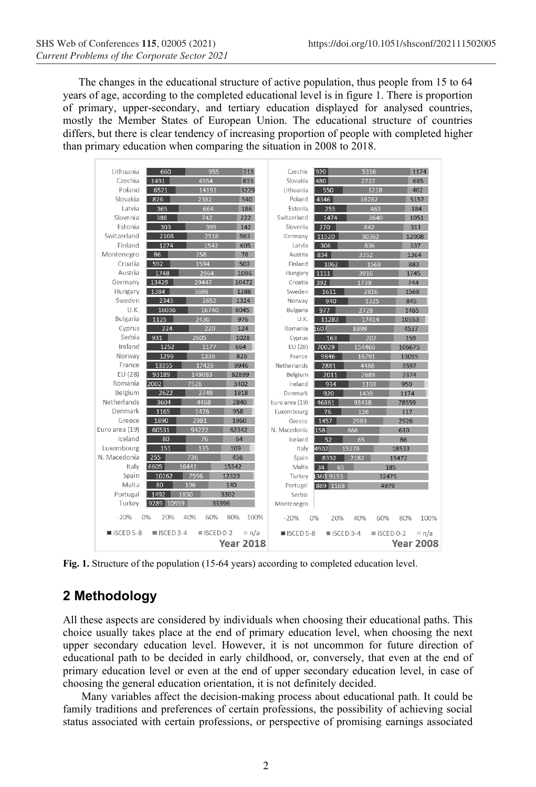The changes in the educational structure of active population, thus people from 15 to 64 years of age, according to the completed educational level is in figure 1. There is proportion of primary, upper-secondary, and tertiary education displayed for analysed countries, mostly the Member States of European Union. The educational structure of countries differs, but there is clear tendency of increasing proportion of people with completed higher than primary education when comparing the situation in 2008 to 2018.

| Lithuania                | 660                      | 955                      | 213              | Czechia                  | 920       | 5316                     | 1174                             |
|--------------------------|--------------------------|--------------------------|------------------|--------------------------|-----------|--------------------------|----------------------------------|
| Czechia                  | 1491                     | 4554                     | 833              | Slovakia                 | 480       | 2727                     | 685                              |
| Poland                   | 6521                     | 14191                    | 3229             | Lithuania                | 550       | 1218                     | 402                              |
| Slovakia                 | 826                      | 2382                     | 540              | Poland                   | 4346      | 16762                    | 5157                             |
| Latvia                   | 365                      | 664                      | 186              | Estonia                  | 255       | 463                      | 184                              |
| Slovenia                 | 388                      | 742                      | 222              | Switzerland              | 1474      | 2640                     | 1051                             |
| Estonia                  | 303                      | 399                      | 142              | Slovenia                 | 270       | 842                      | 311                              |
| Switzerland              | 2108                     | 2516                     | 963              | Germany                  | 11520     | 30362                    | 12008                            |
| Finland                  | 1274                     | 1542                     | 605              | Latvia                   | 306       | 836                      | 337                              |
| Montenegro               | 86                       | 258                      | 78               | Austria                  | 834       | 3352                     | 1364                             |
| Croatia                  | 592                      | 1594                     | 503              | Finland                  | 1062      | 1568                     | 883                              |
| Austria                  | 1748                     | 2964                     | 1096             | Hungary                  | 1111      | 3916                     | 1745                             |
| Germany                  | 13429                    | 29447                    | 10472            | Croatia                  | 392       | 1739                     | 744                              |
| Hungary                  | 1384                     | 3698                     | 1288             | Sweden                   | 1611      | 2816                     | 1568                             |
| Sweden                   | 2343                     | 2652                     | 1324             | Norway                   | 940       | 1325                     | 845                              |
| U.K.                     | 16036                    | 16740                    | 8045             | Bulgaria                 | 977       | 2728                     | 1465                             |
| Bulgaria                 | 1125                     | 2430                     | 976              | U.K.                     | 11283     | 17414                    | 10553                            |
| Cyprus                   | 224                      | 220                      | 124              | Romania                  | 1607      | 8899                     | 4537                             |
| Serbia                   | 931                      | 2605                     | 1028             | Cyprus                   | 163       | 202                      | 159                              |
| Ireland                  | 1252                     | 1177                     | 664              | EU (28)                  | 70029     | 154466                   | 106675                           |
| Norway                   | 1296                     | 1336                     | 826              | France                   | 9846      | 16791                    | 13095                            |
| France                   | 13355                    | 17426                    | 9946             | Netherlands              | 2881      | 4486                     | 3597                             |
| EU (28)                  | 93189                    | 149083                   | 82899            | Belgium                  | 2011      | 2688                     | 2374                             |
| Romania                  | 2002                     | 7526                     | 3402             | Ireland                  | 934       | 1103                     | 950                              |
| Belgium                  | 2622                     | 2749                     | 1918             | Denmark                  | 920       | 1439                     | 1174                             |
| Netherlands              | 3604                     | 4468                     | 2840             | Euro area (19)           | 46861     | 93438                    | 78559                            |
| Denmark                  | 1165                     | 1476                     | 958              | Luxembourg               | 76        | 126                      | 117                              |
| Greece                   | 1890                     | 2981                     | 1960             | Greece                   | 1457      | 2983                     | 2926                             |
| Euro area (19)           | 60531                    | 94222                    | 62342            | N. Macedonia             | 158       | 666                      | 610                              |
| Iceland                  | 80                       | 76                       | 64               | Iceland                  | 52        | 65                       | 86                               |
| Luxembourg               | 151                      | 135                      | 109              | Italy                    | 4902      | 15278                    | 18533                            |
| N. Macedonia             | 255                      | 736                      | 456              | Spain                    | 8392      | 7182                     | 15472                            |
| Italy                    | 6605                     | 16441                    | 15542            | Malta                    | 34<br>65  |                          | 185                              |
| Spain                    | 10262                    | 7596                     | 12323            | Turkey                   | 1360 9153 |                          | 32475                            |
| Malta                    | 80                       | 106                      | 140              | Portugal                 | 889 1168  |                          | 4979                             |
| Portugal                 | 1492                     | 1830                     | 3302             | Serbia                   |           |                          |                                  |
| Turkey                   | 9289 10959               | 33396                    |                  | Montenegro               |           |                          |                                  |
| $-20%$                   | 0%<br>20%                | 40%<br>60%               | 80%<br>100%      | $-20%$                   | 0%<br>20% | 40%<br>60%               | 80%<br>100%                      |
| $\blacksquare$ ISCED 5-8 | $\blacksquare$ ISCED 3-4 | $\blacksquare$ ISCED 0-2 | n/a              | $\blacksquare$ ISCED 5-8 |           | $\blacksquare$ ISCED 3-4 | $\blacksquare$ ISCED 0-2<br>∣n/a |
|                          |                          |                          | <b>Year 2018</b> |                          |           |                          | <b>Year 2008</b>                 |

**Fig. 1.** Structure of the population (15-64 years) according to completed education level.

# **2 Methodology**

All these aspects are considered by individuals when choosing their educational paths. This choice usually takes place at the end of primary education level, when choosing the next upper secondary education level. However, it is not uncommon for future direction of educational path to be decided in early childhood, or, conversely, that even at the end of primary education level or even at the end of upper secondary education level, in case of choosing the general education orientation, it is not definitely decided.

Many variables affect the decision-making process about educational path. It could be family traditions and preferences of certain professions, the possibility of achieving social status associated with certain professions, or perspective of promising earnings associated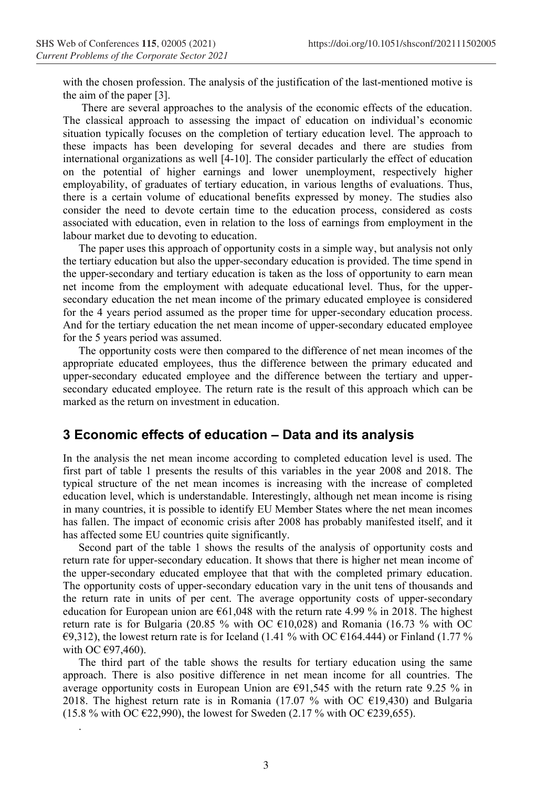.

with the chosen profession. The analysis of the justification of the last-mentioned motive is the aim of the paper [3].

There are several approaches to the analysis of the economic effects of the education. The classical approach to assessing the impact of education on individual's economic situation typically focuses on the completion of tertiary education level. The approach to these impacts has been developing for several decades and there are studies from international organizations as well [4-10]. The consider particularly the effect of education on the potential of higher earnings and lower unemployment, respectively higher employability, of graduates of tertiary education, in various lengths of evaluations. Thus, there is a certain volume of educational benefits expressed by money. The studies also consider the need to devote certain time to the education process, considered as costs associated with education, even in relation to the loss of earnings from employment in the labour market due to devoting to education.

The paper uses this approach of opportunity costs in a simple way, but analysis not only the tertiary education but also the upper-secondary education is provided. The time spend in the upper-secondary and tertiary education is taken as the loss of opportunity to earn mean net income from the employment with adequate educational level. Thus, for the uppersecondary education the net mean income of the primary educated employee is considered for the 4 years period assumed as the proper time for upper-secondary education process. And for the tertiary education the net mean income of upper-secondary educated employee for the 5 years period was assumed.

The opportunity costs were then compared to the difference of net mean incomes of the appropriate educated employees, thus the difference between the primary educated and upper-secondary educated employee and the difference between the tertiary and uppersecondary educated employee. The return rate is the result of this approach which can be marked as the return on investment in education.

#### **3 Economic effects of education – Data and its analysis**

In the analysis the net mean income according to completed education level is used. The first part of table 1 presents the results of this variables in the year 2008 and 2018. The typical structure of the net mean incomes is increasing with the increase of completed education level, which is understandable. Interestingly, although net mean income is rising in many countries, it is possible to identify EU Member States where the net mean incomes has fallen. The impact of economic crisis after 2008 has probably manifested itself, and it has affected some EU countries quite significantly.

Second part of the table 1 shows the results of the analysis of opportunity costs and return rate for upper-secondary education. It shows that there is higher net mean income of the upper-secondary educated employee that that with the completed primary education. The opportunity costs of upper-secondary education vary in the unit tens of thousands and the return rate in units of per cent. The average opportunity costs of upper-secondary education for European union are  $661,048$  with the return rate 4.99 % in 2018. The highest return rate is for Bulgaria (20.85 % with OC  $E10,028$ ) and Romania (16.73 % with OC  $\epsilon$ 9,312), the lowest return rate is for Iceland (1.41 % with OC  $\epsilon$ 164.444) or Finland (1.77 % with OC  $E97,460$ ).

The third part of the table shows the results for tertiary education using the same approach. There is also positive difference in net mean income for all countries. The average opportunity costs in European Union are €91,545 with the return rate 9.25 % in 2018. The highest return rate is in Romania (17.07 % with OC  $E19,430$ ) and Bulgaria (15.8 % with OC  $\epsilon$ 22,990), the lowest for Sweden (2.17 % with OC  $\epsilon$ 239,655).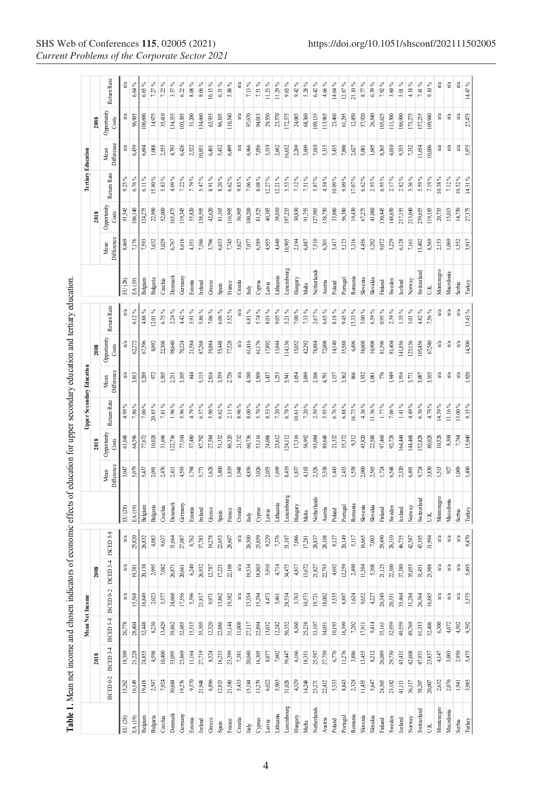|                                                |                      |                         | Mean Net Income         |                                                               |              |                                 |                    |                    |                      |             | <b>Upper Secondary Education</b> |                                 |                                 |             |                    |                      |             | Tertiary Education              |                                 |                                 |
|------------------------------------------------|----------------------|-------------------------|-------------------------|---------------------------------------------------------------|--------------|---------------------------------|--------------------|--------------------|----------------------|-------------|----------------------------------|---------------------------------|---------------------------------|-------------|--------------------|----------------------|-------------|---------------------------------|---------------------------------|---------------------------------|
|                                                |                      | 2018                    |                         |                                                               | 2008         |                                 |                    |                    | 2018                 |             |                                  | 2008                            |                                 |             |                    | 2018                 |             |                                 | 2008                            |                                 |
|                                                | ISCED <sub>0-2</sub> | $ISCHD$ 3-4             | ISCED 5-8               | ISCED <sub>0-2</sub>                                          | 34<br>ISCED: | ISCED <sub>5-8</sub>            |                    | Difference<br>Mean | Opportunity<br>Costs | Return Rate | Difference<br>Mean               | Opportunity<br>Costs            | Return Rate                     |             | Difference<br>Mean | Opportunity<br>Costs | Return Rate | Difference<br>Mean              | Opportunity<br>Costs            | Return Rate                     |
| EU (28)                                        | 15,262               |                         |                         |                                                               | å            |                                 | EU (28)            | 3,047              | 61,048               | 4.99%       |                                  |                                 | $\mathbf{n}^{\prime}\mathbf{a}$ | EU (28)     | 8,469              | 91,545               | 9.25        |                                 |                                 |                                 |
| EA (19)                                        | 16,149               | $\frac{18,309}{21,228}$ | $\frac{26,778}{28,404}$ | $\frac{n/a}{15,568}$                                          | 19381        | $\frac{n}{25,820}$              | EA (19)            | 5,079              | 64,596               | $7.86\%$    | 3,813                            | 62272                           | $6.12~\%$                       | EA (19)     | 7,176              | 106,140              | 6.76%       | 6,439                           | 96,905                          | $6.64\%$                        |
| Belgium                                        | 19,418               | 24,855                  | 32,448                  | 16,849                                                        | 20,138       | 26,832                          | Belgium            | 5,437              | 77,672               | $7.00\%$    | 3,289                            | 67,396                          | 4.88 %                          | Be lgium    | 7,593              | 124,275              | 6.11%       | 6,694                           | 100,690                         | $6.65\%$                        |
| Bulgaria                                       | 2,507                | 4,598                   | 8230                    | 2,023                                                         | 2995         | 4,083                           | Bulgaria           | 2,091              | 10,028               | $20.85\,\%$ | 972                              | 8,092                           | 12.01%                          | Bulgaria    | 3,632              | 22,990               | 15.80%      | 1,088                           | 14,975                          | 7.27%                           |
| Czechia                                        | 7,924                | 10,400                  | 13,429                  | 5,577                                                         | 7,082        | 9,637                           | Czechia            | 2,476              | 31,696               | 7.81%       | 1,505                            | 22,308                          | 6.75%                           | Czechia     | 3,029              | 52,000               | 5.83 %      | 2,555                           | 35,410                          | $7.22\%$                        |
| Dennar                                         | 30,684               | 33,095                  | 39,862                  | 24,660                                                        | 26,871       | 31,664                          | Dennark            | 2,411              | 22,736               | 1.96%       | 2,211                            | 98,640                          | 2.24%                           | Denmark     | 6,767              | 65,475               | 4.09%       | 4,793                           | 134,355                         | 3.57%                           |
| Germany                                        | 19,276               | 23,869                  | 32,485                  | 17,556                                                        | 20,661       | 27,087                          | Germany            | 4,593              | 77,104               | 5.96%       | 3,105                            | 70,224                          | 4.42 %                          | Germany     | 8,616              | 119,345              | $7.22\%$    | 6,426                           | 103,305                         | $6.22\%$                        |
| Estonia                                        | 9,370                | 11,164                  | 15,515                  | 5,396                                                         | 6240         | 8,762                           | Estonia            | 1,794              | 37,480               | 4.79%       | ₹                                | 21,584                          | 3.91%                           | Estonia     | 4,351              | 55,820               | 7.79%       | 2,522                           | 31,200                          | $8.08\,\%$                      |
| Ireland                                        | 21,948               | 27,719                  | 35,305                  | 21,817                                                        | 26,932       | 37,783                          | Ireland            | 5,771              | 87,792               | 6.57%       | 5,115                            | 87,268                          | 5.86%                           | Ireland     | 7,586              | 138,595              | 5.47%       | 10,851                          | 134,660                         | $8.06\,\%$                      |
| Greece                                         | 6,896                | 8,524                   | 12,320                  | 9.971                                                         | 12,787       | 19,278                          | Greece             | $1,628$            | 27,584               | $5.90\,\%$  | 2,816                            | 39,884                          | $7.06~\%$                       | Greece      | 3,796              | 42,620               | 8.91%       | 6,491                           | 63,935                          | 10.15%                          |
| Spain                                          | 12,833               | 16,233                  | 22,886                  | 13,862                                                        | 17221        | 22,653                          | Spain              | 3,400              | 51,332               | $6.62\%$    | 3,359                            | 55,448                          | $6.06\%$                        | Spain       | 6,653              | 81,165               | $8.20\,\%$  | 5,432                           | 86,105                          | $6.31\%$                        |
| France                                         | 21,580               | 23,399                  | 31,144                  | 19,382                                                        | 22,108       | 28,607                          | France             | 1,819              | 86,320               | $2.11\%$    | 2,726                            | 77,528                          | $3.52\ \%$                      | France      | 7,745              | 116,995              | $6.62\%$    | 6,499                           | 110,540                         | 5.88%                           |
| Croatia                                        | 5,433                | $7.381\,$               | 11,008                  |                                                               | n/a          | $\mathbf{n}^{\prime}\mathbf{a}$ | Croatia            | 1,948              | 21,732               | $8.96\,\%$  | $\mathbf{n}^{\prime}\mathbf{a}$  | n/a                             | n'a                             | Croatia     | 3,627              | 36,905               | 9.83 %      | n/a                             | n/a                             | n <sup>'a</sup>                 |
| $\ensuremath{\text{ln}}\ensuremath{\text{ly}}$ | 15,184               | 20,040                  | 27,117                  | $\frac{n/a}{15,354}$                                          | 19,534       | 26,500                          | Italy              | 4,856              | 60,736               | $8.00\,\%$  | 4,180                            | 61,416                          | $6.81~\%$                       | taly        | $7,077$            | 100,200              | $7.06\%$    | 6,966                           | 97,670                          | $7.13\,\%$                      |
| Cyprus                                         | 13,279               | 16,305                  | 22,894                  | 15,294                                                        | 18,803       | 25,859                          | Cyprus             | 3,026              | 53,116               | 5.70%       | 3,509                            | 61,176                          | 5.74%                           | Cyprus      | 6,589              | 81,525               | $8.08~\%$   | 7,056                           | 94,015                          | 7.51%                           |
| Latvia                                         | 6,022                | 8,077                   | 13,032                  | 4,473                                                         | 5910         | 9,229                           | Latvia             | 2,055              | 24,088               | $8.53\%$    | 1,437                            | 17,892                          | $8.03~\%$                       | Latvia      | 4,955              | 40,385               | 12.27%      | 3,319                           | 29,550                          | 11.23%                          |
| Lithuania                                      | 5,903                | $7,\!602$               | 12,242                  | 3,461                                                         | 4714         | 7,376                           | Lithuania          | $1,699$            | 23,612               | $7.20\%$    | 1,253                            | 13,844                          | $9.05\%$                        | Lithuania   | 4,640              | 38,010               | 12.21 %     | 2,662                           | 23,570                          | 11.29%                          |
| Luxembor                                       | 31,028               | 39,447                  | 50,352                  | 28,534                                                        | 34,475       | 51,107                          | Luxembourg         | 8,419              | 124,112              | $6.78\,\%$  | 5,941                            | 114,136                         | $5.21\%$                        | Luxembourg  | 10,905             | 197,235              | $5.53~\%$   | 16,632                          | 172,375                         | 9.65%                           |
| Hungary                                        | 4,329                | 6,166                   | 8,360                   | 3,763<br>10,573                                               | 4,817        | 7,086                           | Hungary            | 1,837              | 17,316               | $10.61\,\%$ | 1,054                            | 15,052                          | $7.00\,\%$                      | Hungary     | 2,194              | 30,830               | $7.12~\%$   | 2,269                           | 24,085                          | $9.42\%$                        |
| Malta                                          | 14,248               | 18,351                  | 25,238                  |                                                               | 13,672       | 17,281                          | Malta              | 4,103              | 56,992               | $7.20\%$    | 3,099                            | 42,292                          | 7.33%                           | Malta       | 6,887              | 91,755               | 7.51%       | 3,609                           | 68,360                          | 5.28%                           |
| Netherlands                                    | 23,271               | 25,597                  | 33,107                  | 19,721                                                        | 21,827       | 28,837                          | Vetherlands        | 2326               | 93,084               | $2.50\,\%$  | 2,106                            | 78,884                          | $2.67\,\%$                      | Vetherlands | 7,510              | 127,985              | 5.87%       | $7,\!010$                       | 109,135                         | $6.42\%$                        |
| Austra                                         | 22,412               | 27,750                  | 34,051                  | $18,002$                                                      | 22,793       | 28,108                          | Austria            | 5338               | 89,648               | $5.95\%$    | 4,791                            | $72,\!008$                      | $6.65\ \%$                      | Austria     | 6,301              | 138,750              | $4.54~\%$   | 5,315                           | 113,965                         | 4.66%                           |
| Poland                                         | 5,333                | 6,776                   | 10,193                  | 3,535                                                         | 4,692        | $8,127$                         | Poland             | 1,443              | 21,332               | $6.76\,\%$  | 1,157                            | 14,140                          | $8.18~\%$                       | Poland      | 3,417              | 33,880               | 10.09%      | 3,435                           | 23,460                          | 14.64%                          |
| Portuga                                        | 8,843                | 11,276                  | 16,399                  | 8,897                                                         | 12259        | 20,149                          | Portugal           | 2,433              | 35,372               | $6.88\,\%$  | 3,362                            | 35,588                          | 9.45%                           | Portugal    | 5,123              | 56,380               | $9.09\%$    | 7,890                           | 61,295                          | 12.87%                          |
| Romania                                        | 2,328                | 3,886                   | 7202                    | 1,624                                                         | 2,490        | 5,117                           | Romania            | 1,558              | 9,312                | 16.73%      | 866                              | 6496                            | 13.33 %                         | Romania     | 3,316              | 19,430               | $17.07~\%$  | 2,627                           | 12,450                          | 21.10%                          |
| Slovenia                                       | 11,455               | 13,455                  | 17,911                  | 9,652                                                         | 11,584       | 16,665                          | Slovenia           | 2,000              | 45,820               | 4.36%       | 1,932                            | 38,608                          | $5.00\,\%$                      | Slovenia    | 4,456              | 67,275               | $6.62~\%$   | 5,081                           | 57,920                          | 8.77%                           |
| Slovakia                                       | 5,647                | 8,212                   | 9,414                   | 427                                                           | 5,308        | $7,\!003$                       | Slovakia           | 2,565              | 22,588               | 11.36%      | $1,081$                          | 16,908                          | $6.39\%$                        | Slovakia    | 1,202              | 41,060               | $2.93\%$    | 1,695                           | 26,540                          | 6.39%                           |
| Finland                                        | 24,365               | 26,089                  | 35,161                  | 20,349                                                        | 21,125       | 29,490                          | Finland            | 1,724              | 97,460               | 1.77%       | $776$                            | 81,396                          | $0.95\%$                        | Finland     | 9,072              | (30,445)             | $6.95\%$    | 8,365                           | 105,625                         | $7.92\%$                        |
| Sweden                                         | 23,182               | 29,730                  | 32,959                  | 20,351                                                        | 22,300       | 26,310                          | Sweden             | 6,548              | 92,728               | $7.06\%$    | 1,949                            | 81,404                          | $2.39\%$                        | Sweden      | 3,229              | 148,650              | 2.17%       | 4,010                           | 111,500                         | $3.60\%$                        |
| Iceland                                        | 41,111               | 43,431                  | 49,559                  | 35,464                                                        | 37,380       | 46,735                          | lceland            | 2,320              | 64,444               | $1.41\%$    | 1,916                            | 141,856                         | $1.35\%$                        | celand      | 6,128              | 217,155              | $2.82~\%$   | 9,355                           | 186,900                         | 5.01%                           |
| Norway                                         | 36,117               | 42,608                  | 49,769                  | 31,284                                                        | 35,055       | 42,387                          | Norway             | 6491               | 44,468               | 4.49%       | 3,771                            | 125,136                         | $3.01\,\%$                      | Norway      | 7,161              | 213,040              | 3.36 %      | 7,332                           | 175,275                         | 4.18%                           |
| Switzerlan                                     | 38,207               | 47,931                  | 61,333                  | 26,364                                                        | 31,451       | 43,105                          | <b>Switzerland</b> | 9,724              | 52,828               | $6.36\%$    | 5,087                            | 05,456                          | $4.82~\%$                       | switzerland | 13,402             | 239,655              | $5.59\,\%$  | 11,654                          | 157,255                         | 7.41%                           |
| U.K.                                           | 20,007               | 23,837                  | 32,406                  | 16,885                                                        | 21,988       | 31,994                          | U.K.               | 3,830              | 80,028               | $4.79\,\%$  | 5,103                            | 67,540                          | 7.56 %                          | U.K.        | 8,569              | 119,185              | $7.19~\%$   | 10,006                          | 109,940                         | $9.10\%$                        |
| Montenegro                                     | 2,632                | 4,147                   | 6300                    |                                                               | ÷            | $\mathbf{n}^{\prime}\mathbf{a}$ | Montenegro         | 1,515              | 10,528               | 14.39%      | $\mathbf{n}'\mathbf{a}$          | $\mathbf{n}^{\prime}\mathbf{a}$ | $\mathbf{n}^{\prime}\mathbf{a}$ | Montenegro  | 2,153              | 20,735               | 10.38%      | å                               | n <sup>/a</sup>                 | °a                              |
| Macedonia                                      | 2,076                | 3,003                   | 4,072                   |                                                               | ိုး          | $_{\rm n/a}$                    | Macedonia          | 927                | 8,304                | 11.16%      | n <sup>'a</sup>                  | n <sup>'a</sup>                 | $\mathbf{n}^{\prime}\mathbf{a}$ | Macedonia   | 1,069              | 15,015               | 7.12%       | n <sup>'a</sup>                 | $\mathbf{n}^{\prime}\mathbf{a}$ | n <sup>'a</sup>                 |
| Serbia                                         | 1,941                | 2,950                   | 4502                    | $\frac{a}{b}$ $\frac{a}{c}$ $\frac{a}{d}$ $\frac{b}{d}$ 3,575 | å            | $\mathbf{n}^{\prime}\mathbf{a}$ | Serbia             | $1000$             | 7,764                | 13.00%      | $\frac{n}{a}$                    | $\mathbf{n}^{\prime}\mathbf{a}$ | $\mathbf{n}^{\prime}\mathbf{a}$ | Serbia      | 1,552              | 14,750               | 10.52 %     | $\mathbf{n}^{\prime}\mathbf{a}$ | ¦°a                             | $\mathbf{n}^{\prime}\mathbf{a}$ |
| Turkey                                         |                      | 5,475                   | 9392                    |                                                               | 5,495        | 9,470                           | <b>Turkey</b>      | 1,490              | 15,940               | $9.35\%$    |                                  | 14,300                          | 13.43%                          | Turkey      | 3,917              | 27,375               | 14.31 %     | 3,975                           | 27,475                          | $14.47\%$                       |

Table 1. Mean net income and chosen indicators of economic effects of education for upper secondary education and tertiary education.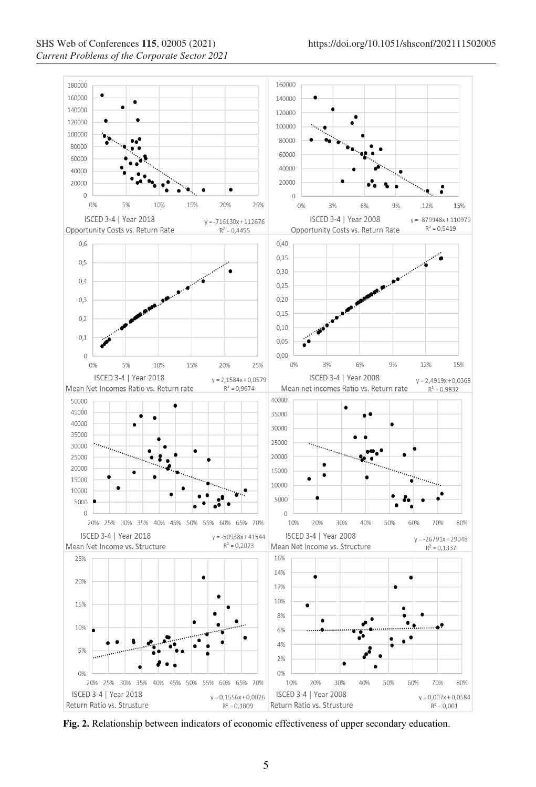

**Fig. 2.** Relationship between indicators of economic effectiveness of upper secondary education.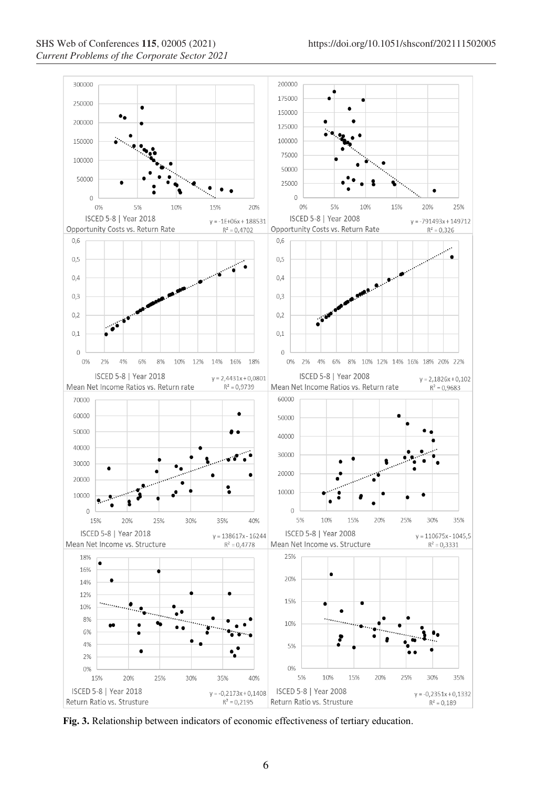

**Fig. 3.** Relationship between indicators of economic effectiveness of tertiary education.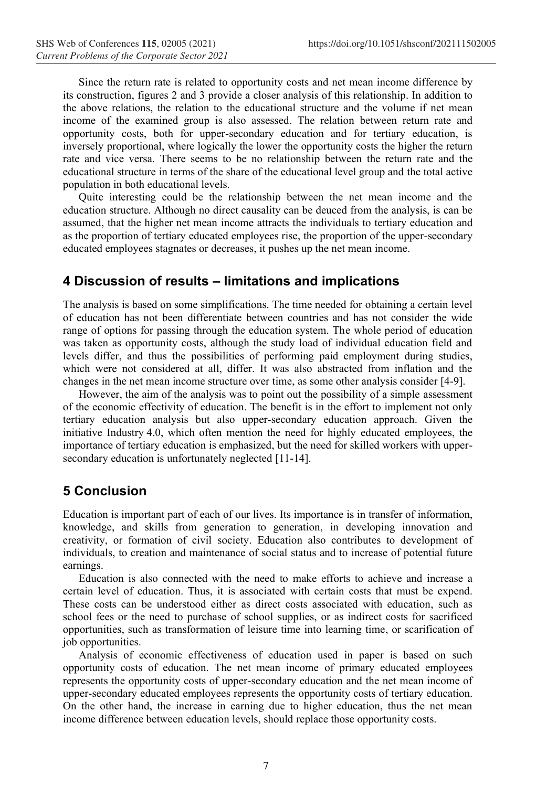Since the return rate is related to opportunity costs and net mean income difference by its construction, figures 2 and 3 provide a closer analysis of this relationship. In addition to the above relations, the relation to the educational structure and the volume if net mean income of the examined group is also assessed. The relation between return rate and opportunity costs, both for upper-secondary education and for tertiary education, is inversely proportional, where logically the lower the opportunity costs the higher the return rate and vice versa. There seems to be no relationship between the return rate and the educational structure in terms of the share of the educational level group and the total active population in both educational levels.

Quite interesting could be the relationship between the net mean income and the education structure. Although no direct causality can be deuced from the analysis, is can be assumed, that the higher net mean income attracts the individuals to tertiary education and as the proportion of tertiary educated employees rise, the proportion of the upper-secondary educated employees stagnates or decreases, it pushes up the net mean income.

#### **4 Discussion of results – limitations and implications**

The analysis is based on some simplifications. The time needed for obtaining a certain level of education has not been differentiate between countries and has not consider the wide range of options for passing through the education system. The whole period of education was taken as opportunity costs, although the study load of individual education field and levels differ, and thus the possibilities of performing paid employment during studies, which were not considered at all, differ. It was also abstracted from inflation and the changes in the net mean income structure over time, as some other analysis consider [4-9].

However, the aim of the analysis was to point out the possibility of a simple assessment of the economic effectivity of education. The benefit is in the effort to implement not only tertiary education analysis but also upper-secondary education approach. Given the initiative Industry 4.0, which often mention the need for highly educated employees, the importance of tertiary education is emphasized, but the need for skilled workers with uppersecondary education is unfortunately neglected [11-14].

# **5 Conclusion**

Education is important part of each of our lives. Its importance is in transfer of information, knowledge, and skills from generation to generation, in developing innovation and creativity, or formation of civil society. Education also contributes to development of individuals, to creation and maintenance of social status and to increase of potential future earnings.

Education is also connected with the need to make efforts to achieve and increase a certain level of education. Thus, it is associated with certain costs that must be expend. These costs can be understood either as direct costs associated with education, such as school fees or the need to purchase of school supplies, or as indirect costs for sacrificed opportunities, such as transformation of leisure time into learning time, or scarification of job opportunities.

Analysis of economic effectiveness of education used in paper is based on such opportunity costs of education. The net mean income of primary educated employees represents the opportunity costs of upper-secondary education and the net mean income of upper-secondary educated employees represents the opportunity costs of tertiary education. On the other hand, the increase in earning due to higher education, thus the net mean income difference between education levels, should replace those opportunity costs.